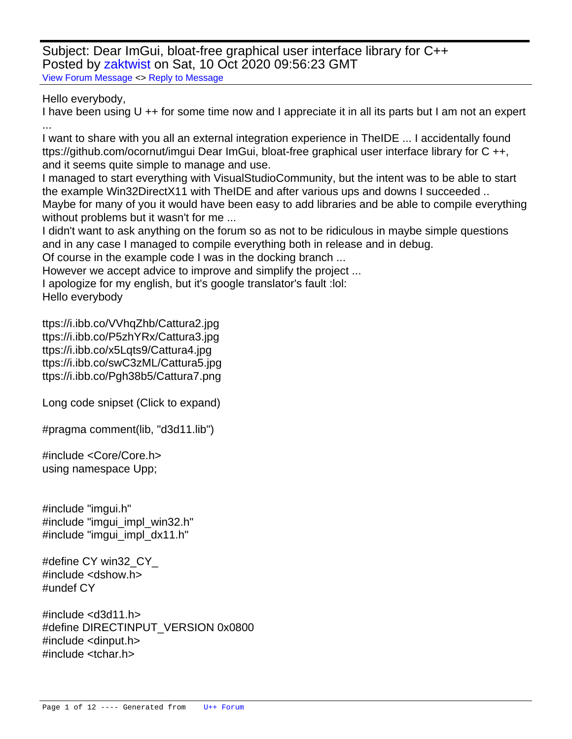Subject: Dear ImGui, bloat-free graphical user interface library for C++ Posted by [zaktwist](https://www.ultimatepp.org/forums/index.php?t=usrinfo&id=34493) on Sat, 10 Oct 2020 09:56:23 GMT [View Forum Message](https://www.ultimatepp.org/forums/index.php?t=rview&th=11197&goto=55091#msg_55091) <> [Reply to Message](https://www.ultimatepp.org/forums/index.php?t=post&reply_to=55091)

Hello everybody,

I have been using U ++ for some time now and I appreciate it in all its parts but I am not an expert ...

I want to share with you all an external integration experience in TheIDE ... I accidentally found ttps://github.com/ocornut/imgui Dear ImGui, bloat-free graphical user interface library for C ++, and it seems quite simple to manage and use.

I managed to start everything with VisualStudioCommunity, but the intent was to be able to start the example Win32DirectX11 with TheIDE and after various ups and downs I succeeded ..

Maybe for many of you it would have been easy to add libraries and be able to compile everything without problems but it wasn't for me ...

I didn't want to ask anything on the forum so as not to be ridiculous in maybe simple questions and in any case I managed to compile everything both in release and in debug.

Of course in the example code I was in the docking branch ...

However we accept advice to improve and simplify the project ...

I apologize for my english, but it's google translator's fault :lol:

Hello everybody

ttps://i.ibb.co/VVhqZhb/Cattura2.jpg ttps://i.ibb.co/P5zhYRx/Cattura3.jpg ttps://i.ibb.co/x5Lqts9/Cattura4.jpg ttps://i.ibb.co/swC3zML/Cattura5.jpg ttps://i.ibb.co/Pgh38b5/Cattura7.png

Long code snipset (Click to expand)

#pragma comment(lib, "d3d11.lib")

#include <Core/Core.h> using namespace Upp;

#include "imgui.h" #include "imgui\_impl\_win32.h" #include "imgui\_impl\_dx11.h"

#define CY win32 CY #include <dshow.h> #undef CY

#include <d3d11.h> #define DIRECTINPUT\_VERSION 0x0800 #include <dinput.h> #include <tchar.h>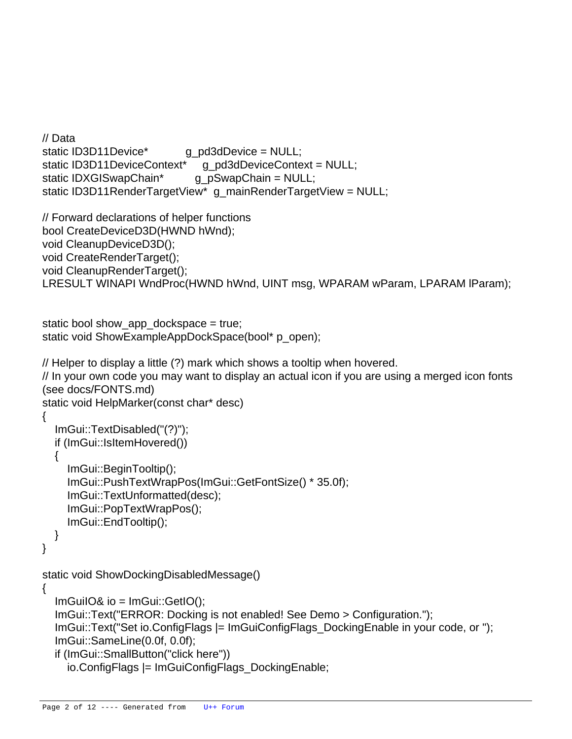```
// Data
static ID3D11Device* g_pd3dDevice = NULL;
static ID3D11DeviceContext*    q pd3dDeviceContext = NULL;
static IDXGISwapChain* g_pSwapChain = NULL;
static ID3D11RenderTargetView* g_mainRenderTargetView = NULL;
// Forward declarations of helper functions
bool CreateDeviceD3D(HWND hWnd);
void CleanupDeviceD3D();
void CreateRenderTarget();
void CleanupRenderTarget();
LRESULT WINAPI WndProc(HWND hWnd, UINT msg, WPARAM wParam, LPARAM lParam);
static bool show app dockspace = true;
static void ShowExampleAppDockSpace(bool* p_open);
// Helper to display a little (?) mark which shows a tooltip when hovered.
// In your own code you may want to display an actual icon if you are using a merged icon fonts
(see docs/FONTS.md)
static void HelpMarker(const char* desc)
{
   ImGui::TextDisabled("(?)");
   if (ImGui::IsItemHovered())
   {
     ImGui::BeginTooltip();
     ImGui::PushTextWrapPos(ImGui::GetFontSize() * 35.0f);
     ImGui::TextUnformatted(desc);
     ImGui::PopTextWrapPos();
     ImGui::EndTooltip();
   }
}
static void ShowDockingDisabledMessage()
{
  ImGuiIO&io = ImGui::GetIO();
   ImGui::Text("ERROR: Docking is not enabled! See Demo > Configuration.");
   ImGui::Text("Set io.ConfigFlags |= ImGuiConfigFlags_DockingEnable in your code, or ");
   ImGui::SameLine(0.0f, 0.0f);
   if (ImGui::SmallButton("click here"))
     io.ConfigFlags |= ImGuiConfigFlags_DockingEnable;
```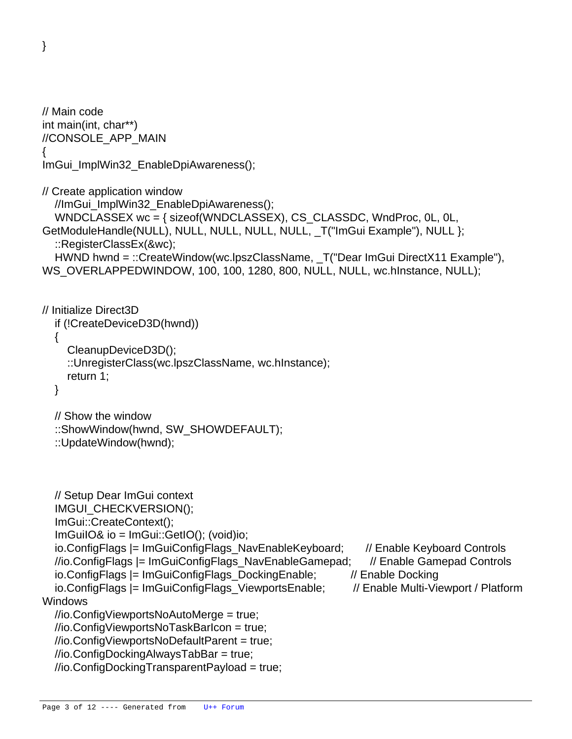}

```
// Main code
int main(int, char**)
//CONSOLE_APP_MAIN
{
ImGui_ImplWin32_EnableDpiAwareness();
	// Create application window
   //ImGui_ImplWin32_EnableDpiAwareness();
   WNDCLASSEX wc = { sizeof(WNDCLASSEX), CS_CLASSDC, WndProc, 0L, 0L,
GetModuleHandle(NULL), NULL, NULL, NULL, NULL, _T("ImGui Example"), NULL };
   ::RegisterClassEx(&wc);
  HWND hwnd = ::CreateWindow(wc.lpszClassName, T("Dear ImGui DirectX11 Example"),
WS_OVERLAPPEDWINDOW, 100, 100, 1280, 800, NULL, NULL, wc.hinstance, NULL);
	// Initialize Direct3D
   if (!CreateDeviceD3D(hwnd))
   {
     CleanupDeviceD3D();
     ::UnregisterClass(wc.lpszClassName, wc.hInstance);
     return 1;
   }
   // Show the window
   ::ShowWindow(hwnd, SW_SHOWDEFAULT);
   ::UpdateWindow(hwnd);
   // Setup Dear ImGui context
   IMGUI_CHECKVERSION();
   ImGui::CreateContext();
   ImGuiIO& io = ImGui::GetIO(); (void)io;
   io.ConfigFlags |= ImGuiConfigFlags_NavEnableKeyboard; // Enable Keyboard Controls
   //io.ConfigFlags |= ImGuiConfigFlags_NavEnableGamepad; // Enable Gamepad Controls
   io.ConfigFlags |= ImGuiConfigFlags_DockingEnable; // Enable Docking
  io.ConfigFlags |= ImGuiConfigFlags_ViewportsEnable; // Enable Multi-Viewport / Platform
Windows
   //io.ConfigViewportsNoAutoMerge = true;
   //io.ConfigViewportsNoTaskBarIcon = true;
   //io.ConfigViewportsNoDefaultParent = true;
   //io.ConfigDockingAlwaysTabBar = true;
```
//io.ConfigDockingTransparentPayload = true;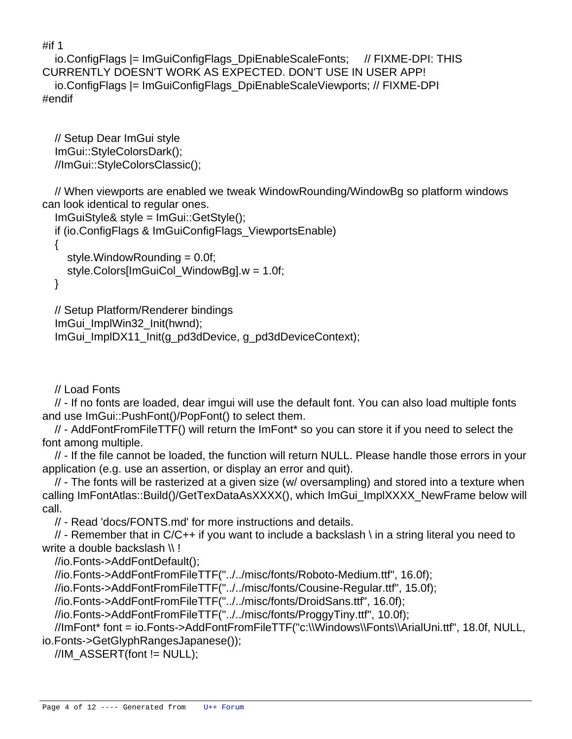#if 1

```
 io.ConfigFlags |= ImGuiConfigFlags_DpiEnableScaleFonts; // FIXME-DPI: THIS
CURRENTLY DOESN'T WORK AS EXPECTED. DON'T USE IN USER APP!
   io.ConfigFlags |= ImGuiConfigFlags_DpiEnableScaleViewports; // FIXME-DPI
#endif
```
 // Setup Dear ImGui style ImGui::StyleColorsDark(); //ImGui::StyleColorsClassic();

 // When viewports are enabled we tweak WindowRounding/WindowBg so platform windows can look identical to regular ones.

```
 ImGuiStyle& style = ImGui::GetStyle();
 if (io.ConfigFlags & ImGuiConfigFlags_ViewportsEnable)
 {
   style.WindowRounding = 0.0f;
   style.Colors[ImGuiCol_WindowBg].w = 1.0f;
 }
```

```
 // Setup Platform/Renderer bindings
 ImGui_ImplWin32_Init(hwnd);
 ImGui_ImplDX11_Init(g_pd3dDevice, g_pd3dDeviceContext);
```
// Load Fonts

 // - If no fonts are loaded, dear imgui will use the default font. You can also load multiple fonts and use ImGui::PushFont()/PopFont() to select them.

 // - AddFontFromFileTTF() will return the ImFont\* so you can store it if you need to select the font among multiple.

 // - If the file cannot be loaded, the function will return NULL. Please handle those errors in your application (e.g. use an assertion, or display an error and quit).

 // - The fonts will be rasterized at a given size (w/ oversampling) and stored into a texture when calling ImFontAtlas::Build()/GetTexDataAsXXXX(), which ImGui\_ImplXXXX\_NewFrame below will call.

// - Read 'docs/FONTS.md' for more instructions and details.

 $\frac{1}{4}$  - Remember that in C/C++ if you want to include a backslash \ in a string literal you need to write a double backslash \\!

//io.Fonts->AddFontDefault();

//io.Fonts->AddFontFromFileTTF("../../misc/fonts/Roboto-Medium.ttf", 16.0f);

//io.Fonts->AddFontFromFileTTF("../../misc/fonts/Cousine-Regular.ttf", 15.0f);

//io.Fonts->AddFontFromFileTTF("../../misc/fonts/DroidSans.ttf", 16.0f);

//io.Fonts->AddFontFromFileTTF("../../misc/fonts/ProggyTiny.ttf", 10.0f);

 //ImFont\* font = io.Fonts->AddFontFromFileTTF("c:\\Windows\\Fonts\\ArialUni.ttf", 18.0f, NULL, io.Fonts->GetGlyphRangesJapanese());

 $//IM$  ASSERT(font  $!=$  NULL);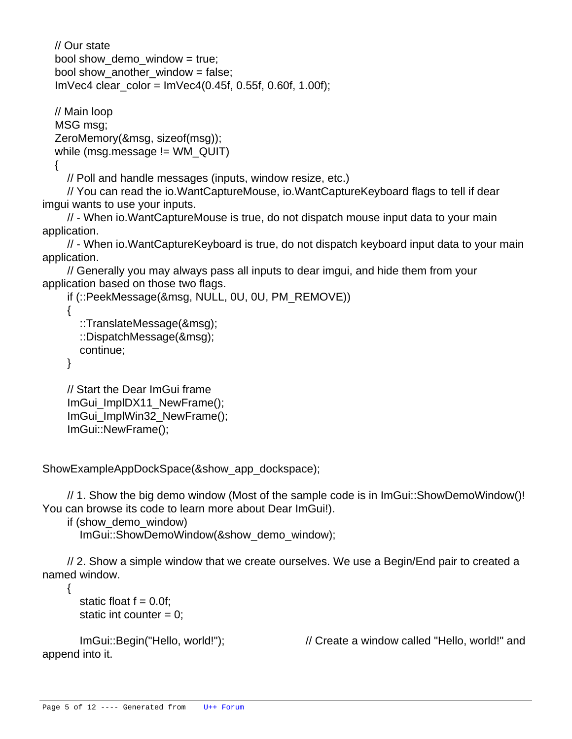// Our state bool show demo window  $=$  true; bool show\_another\_window = false; ImVec4 clear\_color = ImVec4(0.45f, 0.55f, 0.60f, 1.00f);

 // Main loop MSG msg; ZeroMemory(&msg, sizeof(msg)); while (msg.message != WM\_QUIT)

{

// Poll and handle messages (inputs, window resize, etc.)

 // You can read the io.WantCaptureMouse, io.WantCaptureKeyboard flags to tell if dear imgui wants to use your inputs.

 // - When io.WantCaptureMouse is true, do not dispatch mouse input data to your main application.

 // - When io.WantCaptureKeyboard is true, do not dispatch keyboard input data to your main application.

 // Generally you may always pass all inputs to dear imgui, and hide them from your application based on those two flags.

```
 if (::PeekMessage(&msg, NULL, 0U, 0U, PM_REMOVE))
 {
   ::TranslateMessage(&msg);
   ::DispatchMessage(&msg);
   continue;
 }
```

```
 // Start the Dear ImGui frame
ImGui_ImplDX11_NewFrame();
 ImGui_ImplWin32_NewFrame();
 ImGui::NewFrame();
```
 ShowExampleAppDockSpace(&show\_app\_dockspace);

 // 1. Show the big demo window (Most of the sample code is in ImGui::ShowDemoWindow()! You can browse its code to learn more about Dear ImGui!).

```
 if (show_demo_window)
```
ImGui::ShowDemoWindow(&show\_demo\_window);

 // 2. Show a simple window that we create ourselves. We use a Begin/End pair to created a named window.

```
static float f = 0.0f;
static int counter = 0;
```
{

append into it.

ImGui::Begin("Hello, world!"); // Create a window called "Hello, world!" and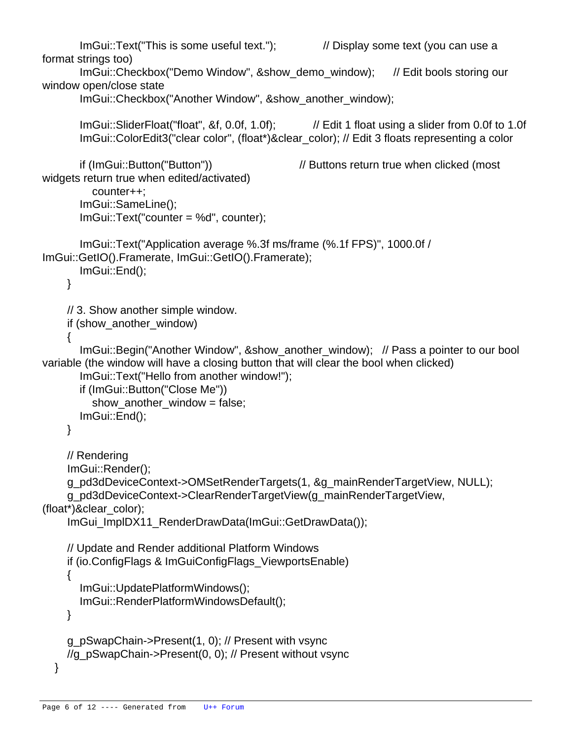```
ImGui::Text("This is some useful text."); // Display some text (you can use a
format strings too)
       ImGui::Checkbox("Demo Window", &show_demo_window); // Edit bools storing our
window open/close state
        ImGui::Checkbox("Another Window", &show_another_window);
        ImGui::SliderFloat("float", &f, 0.0f, 1.0f); // Edit 1 float using a slider from 0.0f to 1.0f
        ImGui::ColorEdit3("clear color", (float*)&clear_color); // Edit 3 floats representing a color
       if (ImGui::Button("Button")) // Buttons return true when clicked (most
widgets return true when edited/activated)
          counter++;
        ImGui::SameLine();
        ImGui::Text("counter = %d", counter);
        ImGui::Text("Application average %.3f ms/frame (%.1f FPS)", 1000.0f /
ImGui::GetIO().Framerate, ImGui::GetIO().Framerate);
        ImGui::End();
     }
     // 3. Show another simple window.
     if (show_another_window)
     {
        ImGui::Begin("Another Window", &show_another_window); // Pass a pointer to our bool
variable (the window will have a closing button that will clear the bool when clicked)
        ImGui::Text("Hello from another window!");
        if (ImGui::Button("Close Me"))
         show another window = false;
        ImGui::End();
     }
     // Rendering
     ImGui::Render();
     g_pd3dDeviceContext->OMSetRenderTargets(1, &g_mainRenderTargetView, NULL);
     g_pd3dDeviceContext->ClearRenderTargetView(g_mainRenderTargetView,
(float*)&clear_color);
    ImGui_ImplDX11_RenderDrawData(ImGui::GetDrawData());
     // Update and Render additional Platform Windows
     if (io.ConfigFlags & ImGuiConfigFlags_ViewportsEnable)
     {
        ImGui::UpdatePlatformWindows();
        ImGui::RenderPlatformWindowsDefault();
     }
     g_pSwapChain->Present(1, 0); // Present with vsync
     //g_pSwapChain->Present(0, 0); // Present without vsync
   }
```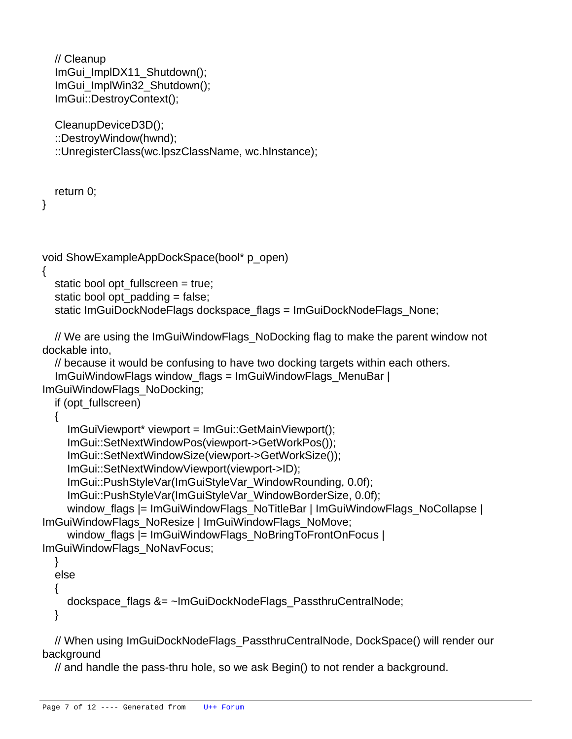```
 // Cleanup
   ImGui_ImplDX11_Shutdown();
   ImGui_ImplWin32_Shutdown();
   ImGui::DestroyContext();
   CleanupDeviceD3D();
   ::DestroyWindow(hwnd);
   ::UnregisterClass(wc.lpszClassName, wc.hInstance);
   return 0;
}
void ShowExampleAppDockSpace(bool* p_open)
{
  static bool opt fullscreen = true;
  static bool opt padding = false;
  static ImGuiDockNodeFlags dockspace flags = ImGuiDockNodeFlags_None;
   // We are using the ImGuiWindowFlags_NoDocking flag to make the parent window not
dockable into,
   // because it would be confusing to have two docking targets within each others.
   ImGuiWindowFlags window_flags = ImGuiWindowFlags_MenuBar |
ImGuiWindowFlags_NoDocking;
   if (opt_fullscreen)
   {
     ImGuiViewport* viewport = ImGui::GetMainViewport();
     ImGui::SetNextWindowPos(viewport->GetWorkPos());
     ImGui::SetNextWindowSize(viewport->GetWorkSize());
     ImGui::SetNextWindowViewport(viewport->ID);
     ImGui::PushStyleVar(ImGuiStyleVar_WindowRounding, 0.0f);
     ImGui::PushStyleVar(ImGuiStyleVar_WindowBorderSize, 0.0f);
    window flags |= ImGuiWindowFlags_NoTitleBar | ImGuiWindowFlags_NoCollapse |
ImGuiWindowFlags_NoResize | ImGuiWindowFlags_NoMove;
    window flags |= ImGuiWindowFlags_NoBringToFrontOnFocus |
ImGuiWindowFlags_NoNavFocus;
   }
   else
   {
     dockspace_flags &= ~ImGuiDockNodeFlags_PassthruCentralNode;
   }
```
 // When using ImGuiDockNodeFlags\_PassthruCentralNode, DockSpace() will render our background

// and handle the pass-thru hole, so we ask Begin() to not render a background.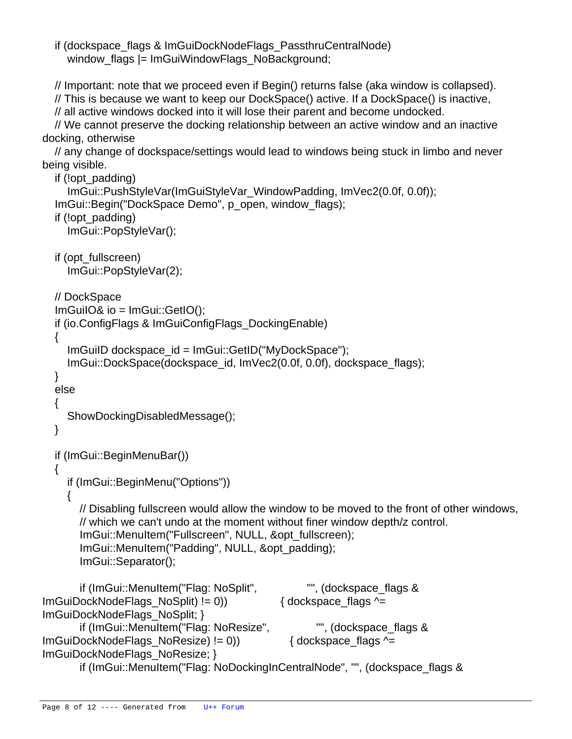if (dockspace\_flags & ImGuiDockNodeFlags\_PassthruCentralNode) window flags  $|=$  ImGuiWindowFlags\_NoBackground;

// Important: note that we proceed even if Begin() returns false (aka window is collapsed).

// This is because we want to keep our DockSpace() active. If a DockSpace() is inactive,

// all active windows docked into it will lose their parent and become undocked.

 // We cannot preserve the docking relationship between an active window and an inactive docking, otherwise

 // any change of dockspace/settings would lead to windows being stuck in limbo and never being visible.

```
 if (!opt_padding)
     ImGui::PushStyleVar(ImGuiStyleVar_WindowPadding, ImVec2(0.0f, 0.0f));
   ImGui::Begin("DockSpace Demo", p_open, window_flags);
   if (!opt_padding)
     ImGui::PopStyleVar();
   if (opt_fullscreen)
     ImGui::PopStyleVar(2);
   // DockSpace
   ImGuiIO& io = ImGui::GetIO();
   if (io.ConfigFlags & ImGuiConfigFlags_DockingEnable)
   {
     ImGuiID dockspace_id = ImGui::GetID("MyDockSpace");
     ImGui::DockSpace(dockspace_id, ImVec2(0.0f, 0.0f), dockspace_flags);
   }
   else
   {
     ShowDockingDisabledMessage();
   }
   if (ImGui::BeginMenuBar())
   {
     if (ImGui::BeginMenu("Options"))
     {
       // Disabling fullscreen would allow the window to be moved to the front of other windows,
        // which we can't undo at the moment without finer window depth/z control.
        ImGui::MenuItem("Fullscreen", NULL, &opt_fullscreen);
        ImGui::MenuItem("Padding", NULL, &opt_padding);
        ImGui::Separator();
        if (ImGui::MenuItem("Flag: NoSplit", "", (dockspace_flags &
ImGuiDockNodeFlags_NoSplit) != 0)) { dockspace_flags ^=
ImGuiDockNodeFlags_NoSplit; }
        if (ImGui::MenuItem("Flag: NoResize", "", (dockspace_flags &
ImGuiDockNodeFlags_NoResize) != 0)) { dockspace_flags ^=
ImGuiDockNodeFlags_NoResize; }
        if (ImGui::MenuItem("Flag: NoDockingInCentralNode", "", (dockspace_flags &
```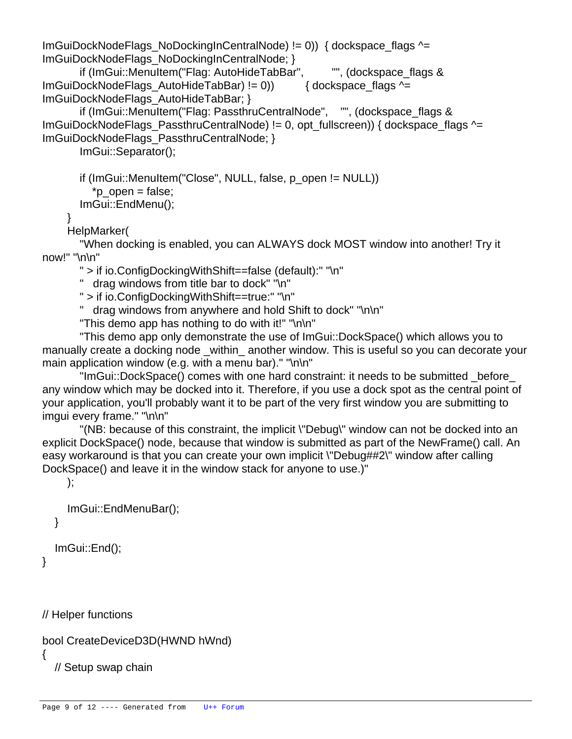ImGuiDockNodeFlags\_NoDockingInCentralNode) != 0)) { dockspace\_flags ^= ImGuiDockNodeFlags\_NoDockingInCentralNode; }

 if (ImGui::MenuItem("Flag: AutoHideTabBar", "", (dockspace\_flags & ImGuiDockNodeFlags\_AutoHideTabBar) != 0)) { dockspace\_flags ^= ImGuiDockNodeFlags\_AutoHideTabBar; }

 if (ImGui::MenuItem("Flag: PassthruCentralNode", "", (dockspace\_flags & ImGuiDockNodeFlags\_PassthruCentralNode) != 0, opt\_fullscreen)) { dockspace\_flags  $\sim$ = ImGuiDockNodeFlags\_PassthruCentralNode; }

ImGui::Separator();

```
 if (ImGui::MenuItem("Close", NULL, false, p_open != NULL))
   *p_open = false;
 ImGui::EndMenu();
```
}

HelpMarker(

 "When docking is enabled, you can ALWAYS dock MOST window into another! Try it now!" "\n\n"

" > if io.ConfigDockingWithShift==false (default):" "\n"

" drag windows from title bar to dock" "\n"

" > if io.ConfigDockingWithShift==true:" "\n"

" drag windows from anywhere and hold Shift to dock" "\n\n"

"This demo app has nothing to do with it!" "\n\n"

 "This demo app only demonstrate the use of ImGui::DockSpace() which allows you to manually create a docking node \_within\_ another window. This is useful so you can decorate your main application window (e.g. with a menu bar)." "\n\n"

 "ImGui::DockSpace() comes with one hard constraint: it needs to be submitted \_before\_ any window which may be docked into it. Therefore, if you use a dock spot as the central point of your application, you'll probably want it to be part of the very first window you are submitting to imgui every frame." "\n\n"

 "(NB: because of this constraint, the implicit \"Debug\" window can not be docked into an explicit DockSpace() node, because that window is submitted as part of the NewFrame() call. An easy workaround is that you can create your own implicit \"Debug##2\" window after calling DockSpace() and leave it in the window stack for anyone to use.)"

);

```
 ImGui::EndMenuBar();
 }
```
ImGui::End();

}

// Helper functions

```
bool CreateDeviceD3D(HWND hWnd)
```
{

// Setup swap chain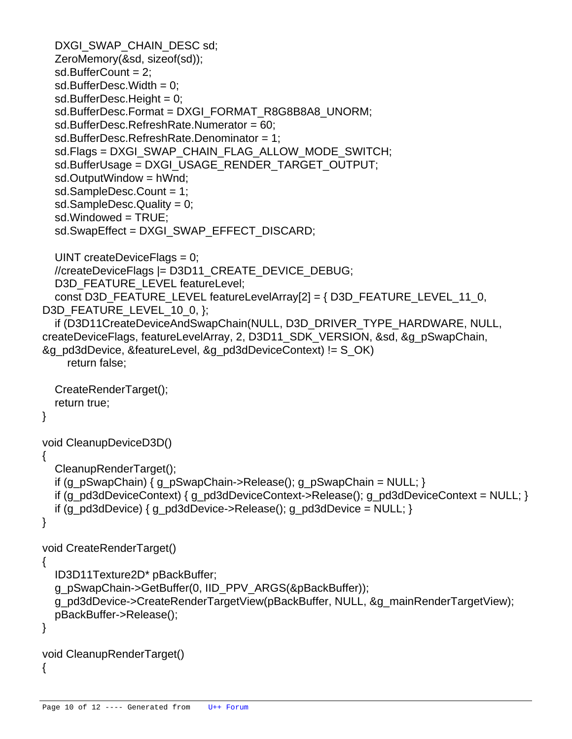```
DXGI_SWAP_CHAIN_DESC sd;
   ZeroMemory(&sd, sizeof(sd));
   sd.BufferCount = 2;
  sd.BufferDesc.Width = 0;
  sd.BufferDesc.Height = 0;
  sd.BufferDesc.Format = DXGI_FORMAT_R8G8B8A8_UNORM;
   sd.BufferDesc.RefreshRate.Numerator = 60;
   sd.BufferDesc.RefreshRate.Denominator = 1;
  sd.Flags = DXGI_SWAP_CHAIN_FLAG_ALLOW_MODE_SWITCH;
  sd.BufferUsage = DXGI_USAGE_RENDER_TARGET_OUTPUT;
   sd.OutputWindow = hWnd;
   sd.SampleDesc.Count = 1;
  sd.SampleDesc.Quality = 0;
   sd.Windowed = TRUE;
   sd.SwapEffect = DXGI_SWAP_EFFECT_DISCARD;
  UINT createDeviceFlags = 0:
   //createDeviceFlags |= D3D11_CREATE_DEVICE_DEBUG;
  D3D_FEATURE_LEVEL featureLevel;
   const D3D_FEATURE_LEVEL featureLevelArray[2] = { D3D_FEATURE_LEVEL_11_0,
D3D_FEATURE_LEVEL_10_0, };
   if (D3D11CreateDeviceAndSwapChain(NULL, D3D_DRIVER_TYPE_HARDWARE, NULL,
createDeviceFlags, featureLevelArray, 2, D3D11_SDK_VERSION, &sd, &g_pSwapChain,
&g_pd3dDevice, &featureLevel, &g_pd3dDeviceContext) != S_OK)
     return false;
   CreateRenderTarget();
   return true;
}
void CleanupDeviceD3D()
{
   CleanupRenderTarget();
  if (g_pSwapChain) \{g_pSwapChain\} Release(); g_pSwapChain = NULL; }
  if (g_p)d3dDeviceContext { g_pd3dDeviceContext >Release(); g_pd3dDeviceContext = NULL; }
  if (g_pd3dDevice) { g_pd3dDevice->Release(); g_pd3dDevice = NULL; }
}
void CreateRenderTarget()
{
   ID3D11Texture2D* pBackBuffer;
   g_pSwapChain->GetBuffer(0, IID_PPV_ARGS(&pBackBuffer));
   g_pd3dDevice->CreateRenderTargetView(pBackBuffer, NULL, &g_mainRenderTargetView);
   pBackBuffer->Release();
}
void CleanupRenderTarget()
{
```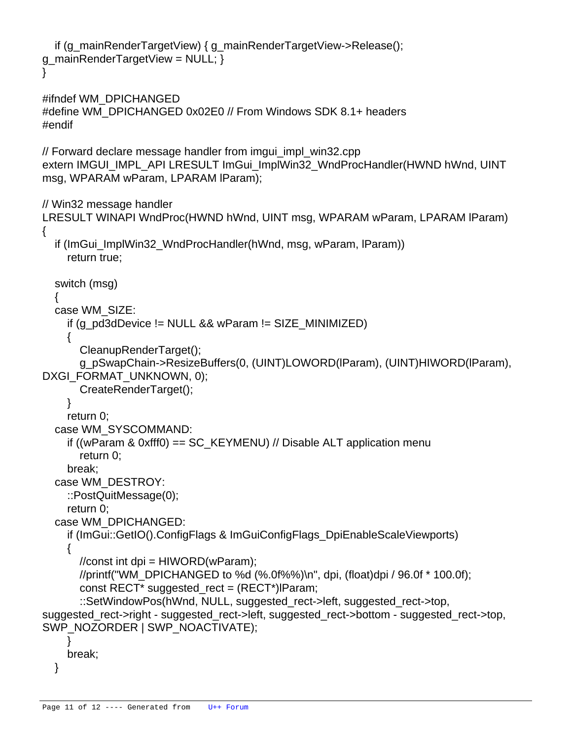```
 if (g_mainRenderTargetView) { g_mainRenderTargetView->Release();
g_mainRenderTargetView = NULL; \}}
#ifndef WM_DPICHANGED
```

```
#define WM_DPICHANGED 0x02E0 // From Windows SDK 8.1+ headers
#endif
```
// Forward declare message handler from imgui\_impl\_win32.cpp extern IMGUI\_IMPL\_API LRESULT ImGui\_ImplWin32\_WndProcHandler(HWND hWnd, UINT msg, WPARAM wParam, LPARAM lParam);

// Win32 message handler

```
LRESULT WINAPI WndProc(HWND hWnd, UINT msg, WPARAM wParam, LPARAM lParam)
{
  if (ImGui_ImplWin32_WndProcHandler(hWnd, msg, wParam, lParam))
     return true;
   switch (msg)
   {
   case WM_SIZE:
    if (g_pd3dDevice != NULL && wParam != SIZE_MINIMIZED)
     {
       CleanupRenderTarget();
       g_pSwapChain->ResizeBuffers(0, (UINT)LOWORD(lParam), (UINT)HIWORD(lParam),
DXGI_FORMAT_UNKNOWN, 0);
       CreateRenderTarget();
     }
     return 0;
   case WM_SYSCOMMAND:
    if ((wParam & 0xfff0) == SC KEYMENU) // Disable ALT application menu
       return 0;
     break;
   case WM_DESTROY:
     ::PostQuitMessage(0);
     return 0;
   case WM_DPICHANGED:
     if (ImGui::GetIO().ConfigFlags & ImGuiConfigFlags_DpiEnableScaleViewports)
     {
      //const int dpi = HIWORD(wParam);
      //printf("WM_DPICHANGED to %d (%.0f%%)\n", dpi, (float)dpi / 96.0f * 100.0f);
       const RECT* suggested_rect = (RECT*)lParam;
       ::SetWindowPos(hWnd, NULL, suggested_rect->left, suggested_rect->top,
suggested_rect->right - suggested_rect->left, suggested_rect->bottom - suggested_rect->top,
SWP_NOZORDER | SWP_NOACTIVATE);
     }
     break;
```

```
 }
```